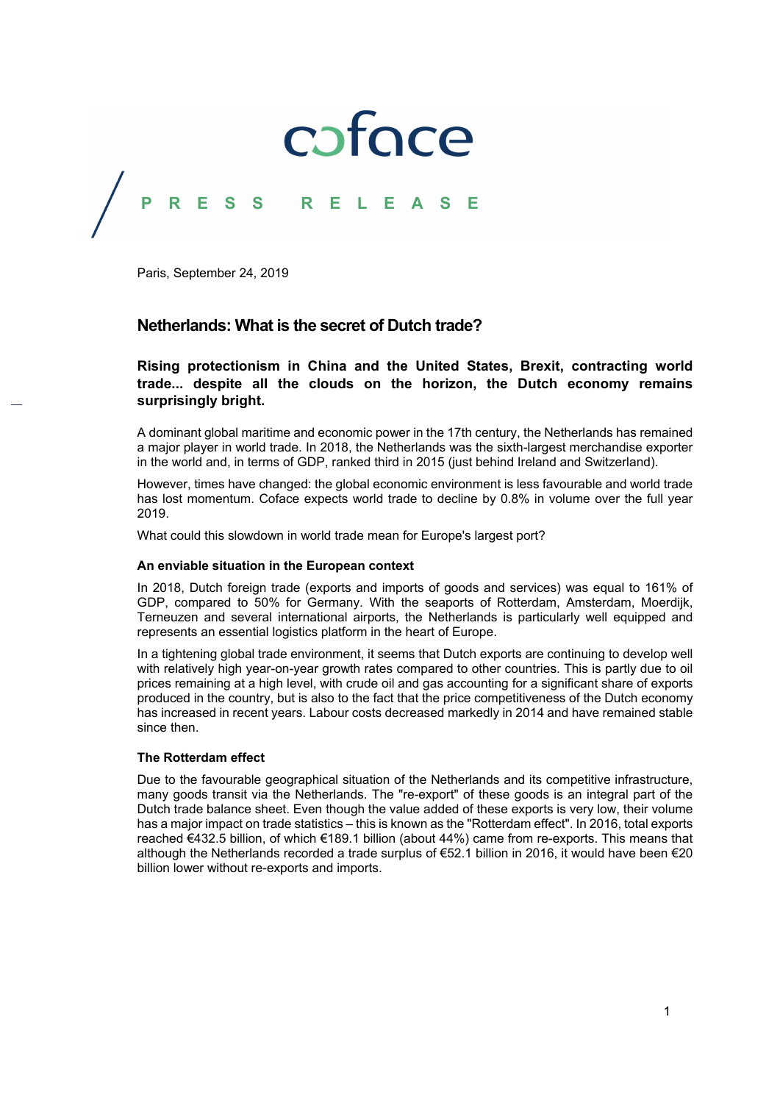

Paris, September 24, 2019

## **Netherlands: What is the secret of Dutch trade?**

**Rising protectionism in China and the United States, Brexit, contracting world trade... despite all the clouds on the horizon, the Dutch economy remains surprisingly bright.** 

A dominant global maritime and economic power in the 17th century, the Netherlands has remained a major player in world trade. In 2018, the Netherlands was the sixth-largest merchandise exporter in the world and, in terms of GDP, ranked third in 2015 (just behind Ireland and Switzerland).

However, times have changed: the global economic environment is less favourable and world trade has lost momentum. Coface expects world trade to decline by 0.8% in volume over the full year 2019.

What could this slowdown in world trade mean for Europe's largest port?

### **An enviable situation in the European context**

In 2018, Dutch foreign trade (exports and imports of goods and services) was equal to 161% of GDP, compared to 50% for Germany. With the seaports of Rotterdam, Amsterdam, Moerdijk, Terneuzen and several international airports, the Netherlands is particularly well equipped and represents an essential logistics platform in the heart of Europe.

In a tightening global trade environment, it seems that Dutch exports are continuing to develop well with relatively high year-on-year growth rates compared to other countries. This is partly due to oil prices remaining at a high level, with crude oil and gas accounting for a significant share of exports produced in the country, but is also to the fact that the price competitiveness of the Dutch economy has increased in recent years. Labour costs decreased markedly in 2014 and have remained stable since then.

## **The Rotterdam effect**

Due to the favourable geographical situation of the Netherlands and its competitive infrastructure, many goods transit via the Netherlands. The "re-export" of these goods is an integral part of the Dutch trade balance sheet. Even though the value added of these exports is very low, their volume has a major impact on trade statistics – this is known as the "Rotterdam effect". In 2016, total exports reached €432.5 billion, of which €189.1 billion (about 44%) came from re-exports. This means that although the Netherlands recorded a trade surplus of €52.1 billion in 2016, it would have been €20 billion lower without re-exports and imports.